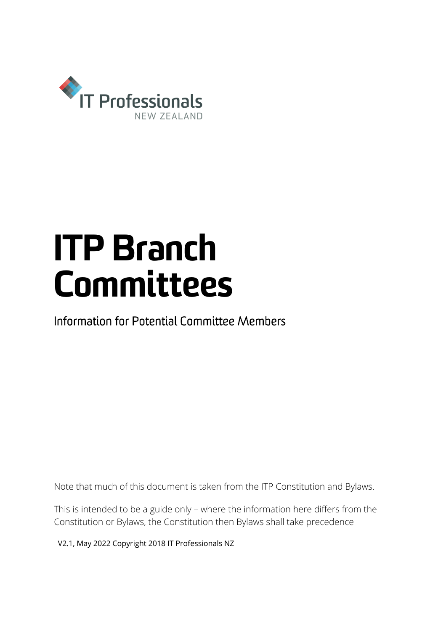

# ITP Branch Committees

Information for Potential Committee Members

Note that much of this document is taken from the ITP Constitution and Bylaws.

This is intended to be a guide only – where the information here differs from the Constitution or Bylaws, the Constitution then Bylaws shall take precedence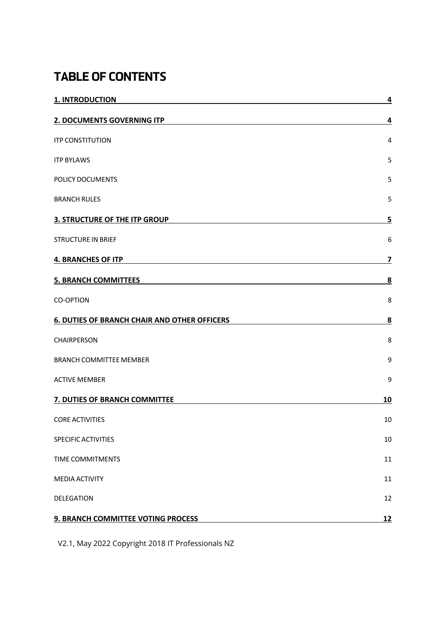# TABLE OF CONTENTS

| 1. INTRODUCTION                                     | $\overline{4}$          |
|-----------------------------------------------------|-------------------------|
| 2. DOCUMENTS GOVERNING ITP                          | 4                       |
| <b>ITP CONSTITUTION</b>                             | 4                       |
| <b>ITP BYLAWS</b>                                   | 5                       |
| POLICY DOCUMENTS                                    | 5                       |
| <b>BRANCH RULES</b>                                 | 5                       |
| <b>3. STRUCTURE OF THE ITP GROUP</b>                | 5                       |
| <b>STRUCTURE IN BRIEF</b>                           | 6                       |
| <b>4. BRANCHES OF ITP</b>                           | 7                       |
| <b>5. BRANCH COMMITTEES</b>                         | $\overline{\mathbf{8}}$ |
| <b>CO-OPTION</b>                                    | 8                       |
| <b>6. DUTIES OF BRANCH CHAIR AND OTHER OFFICERS</b> | 8                       |
| CHAIRPERSON                                         | 8                       |
| <b>BRANCH COMMITTEE MEMBER</b>                      | 9                       |
| <b>ACTIVE MEMBER</b>                                | 9                       |
| 7. DUTIES OF BRANCH COMMITTEE                       | 10                      |
| <b>CORE ACTIVITIES</b>                              | 10                      |
| SPECIFIC ACTIVITIES                                 | 10                      |
| TIME COMMITMENTS                                    | 11                      |
| <b>MEDIA ACTIVITY</b>                               | 11                      |
| DELEGATION                                          | 12                      |
| 9. BRANCH COMMITTEE VOTING PROCESS                  | <u>12</u>               |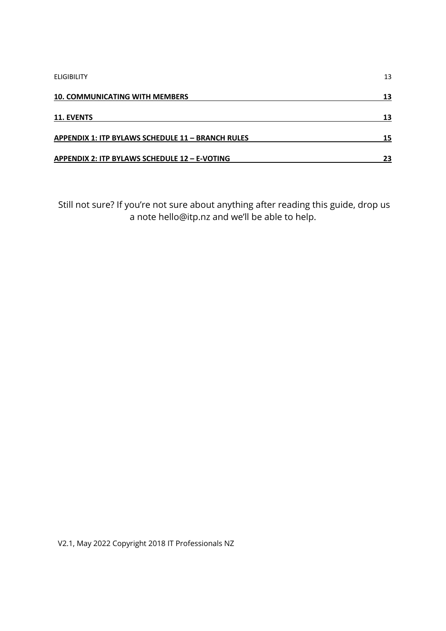| <b>ELIGIBILITY</b>                                | 13 |
|---------------------------------------------------|----|
| <b>10. COMMUNICATING WITH MEMBERS</b>             | 13 |
| <b>11. EVENTS</b>                                 | 13 |
| APPENDIX 1: ITP BYLAWS SCHEDULE 11 - BRANCH RULES | 15 |
| APPENDIX 2: ITP BYLAWS SCHEDULE 12 - E-VOTING     | 23 |

Still not sure? If you're not sure about anything after reading this guide, drop us a note hello@itp.nz and we'll be able to help.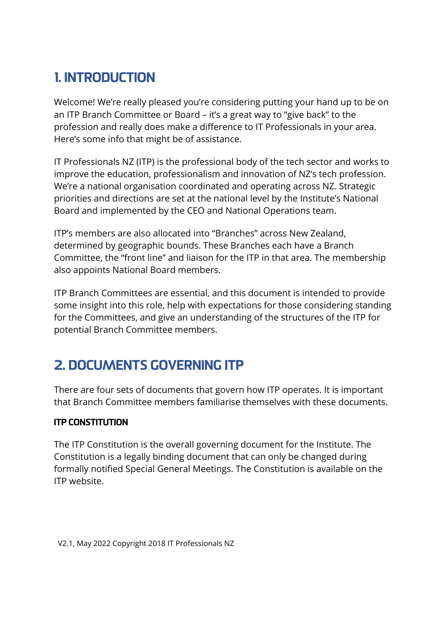# 1. INTRODUCTION

Welcome! We're really pleased you're considering putting your hand up to be on an ITP Branch Committee or Board – it's a great way to "give back" to the profession and really does make a difference to IT Professionals in your area. Here's some info that might be of assistance.

IT Professionals NZ (ITP) is the professional body of the tech sector and works to improve the education, professionalism and innovation of NZ's tech profession. We're a national organisation coordinated and operating across NZ. Strategic priorities and directions are set at the national level by the Institute's National Board and implemented by the CEO and National Operations team.

ITP's members are also allocated into "Branches" across New Zealand, determined by geographic bounds. These Branches each have a Branch Committee, the "front line" and liaison for the ITP in that area. The membership also appoints National Board members.

ITP Branch Committees are essential, and this document is intended to provide some insight into this role, help with expectations for those considering standing for the Committees, and give an understanding of the structures of the ITP for potential Branch Committee members.

# 2. DOCUMENTS GOVERNING ITP

There are four sets of documents that govern how ITP operates. It is important that Branch Committee members familiarise themselves with these documents.

### ITP CONSTITUTION

The ITP Constitution is the overall governing document for the Institute. The Constitution is a legally binding document that can only be changed during formally notified Special General Meetings. The Constitution is available on the ITP website.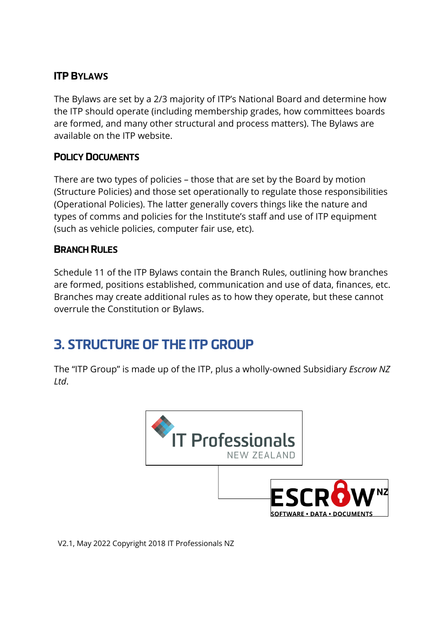### ITP BYLAWS

The Bylaws are set by a 2/3 majority of ITP's National Board and determine how the ITP should operate (including membership grades, how committees boards are formed, and many other structural and process matters). The Bylaws are available on the ITP website.

### POLICY DOCUMENTS

There are two types of policies – those that are set by the Board by motion (Structure Policies) and those set operationally to regulate those responsibilities (Operational Policies). The latter generally covers things like the nature and types of comms and policies for the Institute's staff and use of ITP equipment (such as vehicle policies, computer fair use, etc).

### BRANCH RULES

Schedule 11 of the ITP Bylaws contain the Branch Rules, outlining how branches are formed, positions established, communication and use of data, finances, etc. Branches may create additional rules as to how they operate, but these cannot overrule the Constitution or Bylaws.

# 3. STRUCTURE OF THE ITP GROUP

The "ITP Group" is made up of the ITP, plus a wholly-owned Subsidiary *Escrow NZ Ltd*.

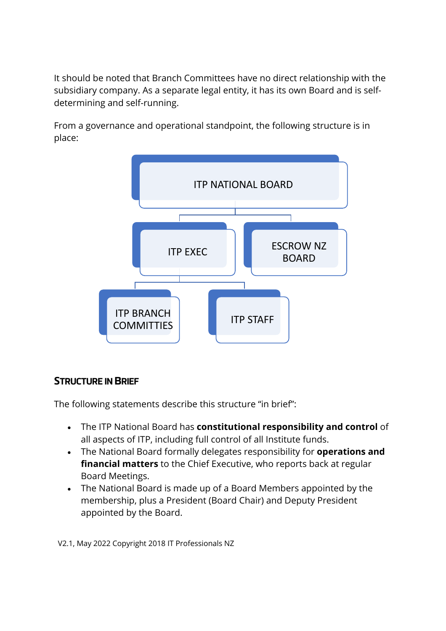It should be noted that Branch Committees have no direct relationship with the subsidiary company. As a separate legal entity, it has its own Board and is selfdetermining and self-running.

From a governance and operational standpoint, the following structure is in place:



### STRUCTURE IN BRIEF

The following statements describe this structure "in brief":

- The ITP National Board has **constitutional responsibility and control** of all aspects of ITP, including full control of all Institute funds.
- The National Board formally delegates responsibility for **operations and financial matters** to the Chief Executive, who reports back at regular Board Meetings.
- The National Board is made up of a Board Members appointed by the membership, plus a President (Board Chair) and Deputy President appointed by the Board.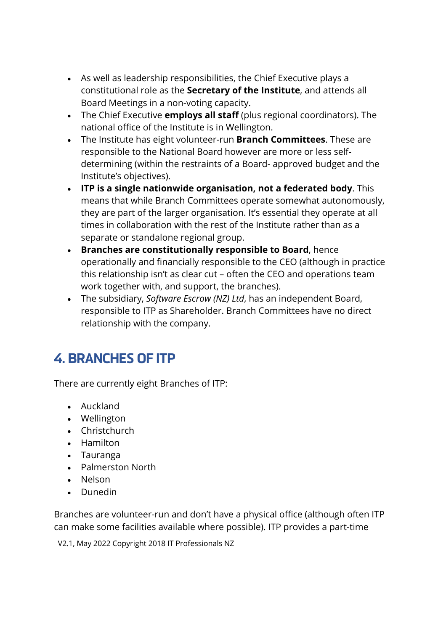- As well as leadership responsibilities, the Chief Executive plays a constitutional role as the **Secretary of the Institute**, and attends all Board Meetings in a non-voting capacity.
- The Chief Executive **employs all staff** (plus regional coordinators). The national office of the Institute is in Wellington.
- The Institute has eight volunteer-run **Branch Committees**. These are responsible to the National Board however are more or less selfdetermining (within the restraints of a Board- approved budget and the Institute's objectives).
- **ITP is a single nationwide organisation, not a federated body**. This means that while Branch Committees operate somewhat autonomously, they are part of the larger organisation. It's essential they operate at all times in collaboration with the rest of the Institute rather than as a separate or standalone regional group.
- **Branches are constitutionally responsible to Board**, hence operationally and financially responsible to the CEO (although in practice this relationship isn't as clear cut – often the CEO and operations team work together with, and support, the branches).
- The subsidiary, *Software Escrow (NZ) Ltd*, has an independent Board, responsible to ITP as Shareholder. Branch Committees have no direct relationship with the company.

# 4. BRANCHES OF ITP

There are currently eight Branches of ITP:

- Auckland
- Wellington
- Christchurch
- Hamilton
- Tauranga
- Palmerston North
- Nelson
- Dunedin

Branches are volunteer-run and don't have a physical office (although often ITP can make some facilities available where possible). ITP provides a part-time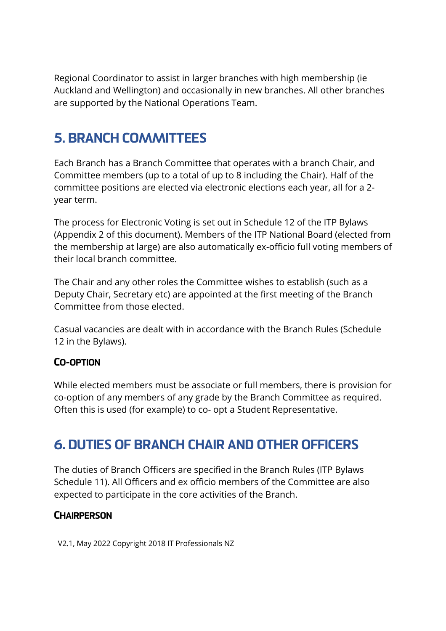Regional Coordinator to assist in larger branches with high membership (ie Auckland and Wellington) and occasionally in new branches. All other branches are supported by the National Operations Team.

# 5. BRANCH COMMITTEES

Each Branch has a Branch Committee that operates with a branch Chair, and Committee members (up to a total of up to 8 including the Chair). Half of the committee positions are elected via electronic elections each year, all for a 2 year term.

The process for Electronic Voting is set out in Schedule 12 of the ITP Bylaws (Appendix 2 of this document). Members of the ITP National Board (elected from the membership at large) are also automatically ex-officio full voting members of their local branch committee.

The Chair and any other roles the Committee wishes to establish (such as a Deputy Chair, Secretary etc) are appointed at the first meeting of the Branch Committee from those elected.

Casual vacancies are dealt with in accordance with the Branch Rules (Schedule 12 in the Bylaws).

### CO-OPTION

While elected members must be associate or full members, there is provision for co-option of any members of any grade by the Branch Committee as required. Often this is used (for example) to co- opt a Student Representative.

# 6. DUTIES OF BRANCH CHAIR AND OTHER OFFICERS

The duties of Branch Officers are specified in the Branch Rules (ITP Bylaws Schedule 11). All Officers and ex officio members of the Committee are also expected to participate in the core activities of the Branch.

### **CHAIRPERSON**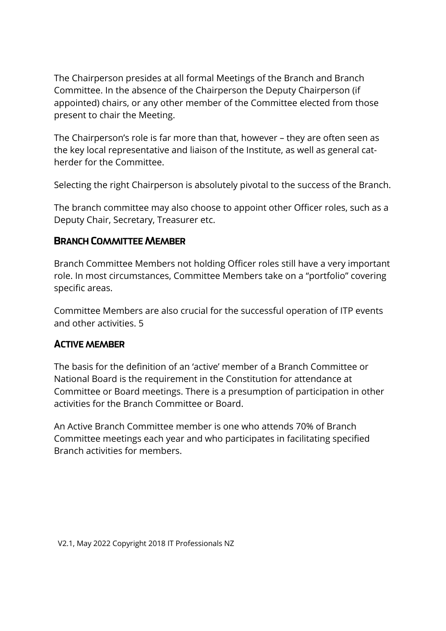The Chairperson presides at all formal Meetings of the Branch and Branch Committee. In the absence of the Chairperson the Deputy Chairperson (if appointed) chairs, or any other member of the Committee elected from those present to chair the Meeting.

The Chairperson's role is far more than that, however – they are often seen as the key local representative and liaison of the Institute, as well as general catherder for the Committee.

Selecting the right Chairperson is absolutely pivotal to the success of the Branch.

The branch committee may also choose to appoint other Officer roles, such as a Deputy Chair, Secretary, Treasurer etc.

#### BRANCH COMMITTEE MEMBER

Branch Committee Members not holding Officer roles still have a very important role. In most circumstances, Committee Members take on a "portfolio" covering specific areas.

Committee Members are also crucial for the successful operation of ITP events and other activities. 5

#### ACTIVE MEMBER

The basis for the definition of an 'active' member of a Branch Committee or National Board is the requirement in the Constitution for attendance at Committee or Board meetings. There is a presumption of participation in other activities for the Branch Committee or Board.

An Active Branch Committee member is one who attends 70% of Branch Committee meetings each year and who participates in facilitating specified Branch activities for members.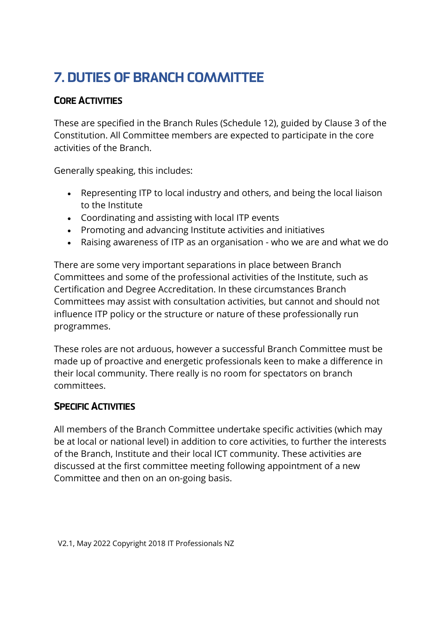# 7. DUTIES OF BRANCH COMMITTEE

### CORE ACTIVITIES

These are specified in the Branch Rules (Schedule 12), guided by Clause 3 of the Constitution. All Committee members are expected to participate in the core activities of the Branch.

Generally speaking, this includes:

- Representing ITP to local industry and others, and being the local liaison to the Institute
- Coordinating and assisting with local ITP events
- Promoting and advancing Institute activities and initiatives
- Raising awareness of ITP as an organisation who we are and what we do

There are some very important separations in place between Branch Committees and some of the professional activities of the Institute, such as Certification and Degree Accreditation. In these circumstances Branch Committees may assist with consultation activities, but cannot and should not influence ITP policy or the structure or nature of these professionally run programmes.

These roles are not arduous, however a successful Branch Committee must be made up of proactive and energetic professionals keen to make a difference in their local community. There really is no room for spectators on branch committees.

### SPECIFIC ACTIVITIES

All members of the Branch Committee undertake specific activities (which may be at local or national level) in addition to core activities, to further the interests of the Branch, Institute and their local ICT community. These activities are discussed at the first committee meeting following appointment of a new Committee and then on an on-going basis.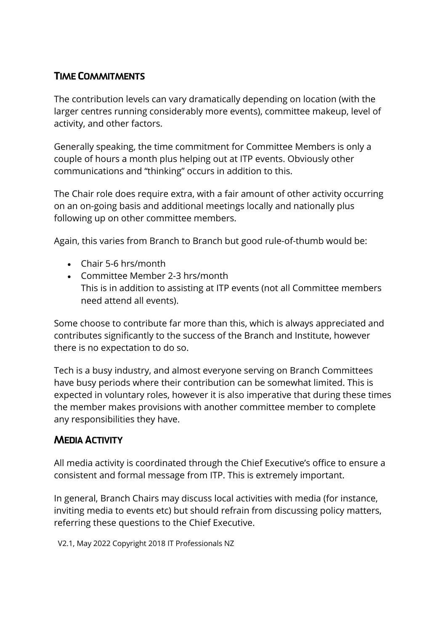### TIME COMMITMENTS

The contribution levels can vary dramatically depending on location (with the larger centres running considerably more events), committee makeup, level of activity, and other factors.

Generally speaking, the time commitment for Committee Members is only a couple of hours a month plus helping out at ITP events. Obviously other communications and "thinking" occurs in addition to this.

The Chair role does require extra, with a fair amount of other activity occurring on an on-going basis and additional meetings locally and nationally plus following up on other committee members.

Again, this varies from Branch to Branch but good rule-of-thumb would be:

- Chair 5-6 hrs/month
- Committee Member 2-3 hrs/month This is in addition to assisting at ITP events (not all Committee members need attend all events).

Some choose to contribute far more than this, which is always appreciated and contributes significantly to the success of the Branch and Institute, however there is no expectation to do so.

Tech is a busy industry, and almost everyone serving on Branch Committees have busy periods where their contribution can be somewhat limited. This is expected in voluntary roles, however it is also imperative that during these times the member makes provisions with another committee member to complete any responsibilities they have.

### MEDIA ACTIVITY

All media activity is coordinated through the Chief Executive's office to ensure a consistent and formal message from ITP. This is extremely important.

In general, Branch Chairs may discuss local activities with media (for instance, inviting media to events etc) but should refrain from discussing policy matters, referring these questions to the Chief Executive.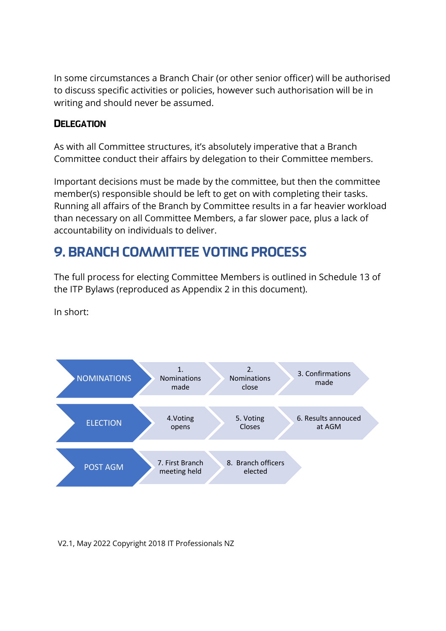In some circumstances a Branch Chair (or other senior officer) will be authorised to discuss specific activities or policies, however such authorisation will be in writing and should never be assumed.

### **DELEGATION**

As with all Committee structures, it's absolutely imperative that a Branch Committee conduct their affairs by delegation to their Committee members.

Important decisions must be made by the committee, but then the committee member(s) responsible should be left to get on with completing their tasks. Running all affairs of the Branch by Committee results in a far heavier workload than necessary on all Committee Members, a far slower pace, plus a lack of accountability on individuals to deliver.

# 9. BRANCH COMMITTEE VOTING PROCESS

The full process for electing Committee Members is outlined in Schedule 13 of the ITP Bylaws (reproduced as Appendix 2 in this document).

In short:

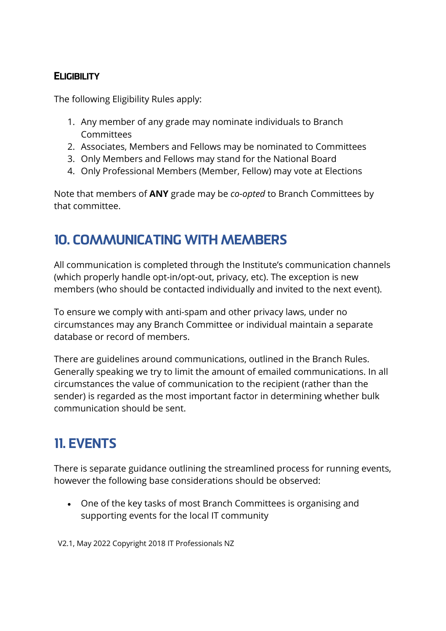### **ELIGIBILITY**

The following Eligibility Rules apply:

- 1. Any member of any grade may nominate individuals to Branch **Committees**
- 2. Associates, Members and Fellows may be nominated to Committees
- 3. Only Members and Fellows may stand for the National Board
- 4. Only Professional Members (Member, Fellow) may vote at Elections

Note that members of **ANY** grade may be *co-opted* to Branch Committees by that committee.

# 10. COMMUNICATING WITH MEMBERS

All communication is completed through the Institute's communication channels (which properly handle opt-in/opt-out, privacy, etc). The exception is new members (who should be contacted individually and invited to the next event).

To ensure we comply with anti-spam and other privacy laws, under no circumstances may any Branch Committee or individual maintain a separate database or record of members.

There are guidelines around communications, outlined in the Branch Rules. Generally speaking we try to limit the amount of emailed communications. In all circumstances the value of communication to the recipient (rather than the sender) is regarded as the most important factor in determining whether bulk communication should be sent.

# 11. EVENTS

There is separate guidance outlining the streamlined process for running events, however the following base considerations should be observed:

• One of the key tasks of most Branch Committees is organising and supporting events for the local IT community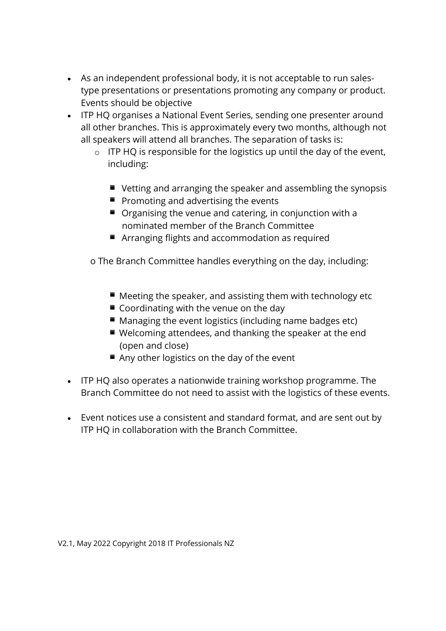- As an independent professional body, it is not acceptable to run salestype presentations or presentations promoting any company or product. Events should be objective
- ITP HQ organises a National Event Series, sending one presenter around all other branches. This is approximately every two months, although not all speakers will attend all branches. The separation of tasks is:
	- $\circ$  ITP HQ is responsible for the logistics up until the day of the event, including:
		- Vetting and arranging the speaker and assembling the synopsis
		- $\blacksquare$  Promoting and advertising the events
		- $\blacksquare$  Organising the venue and catering, in conjunction with a nominated member of the Branch Committee
		- Arranging flights and accommodation as required

o The Branch Committee handles everything on the day, including:

- $\blacksquare$  Meeting the speaker, and assisting them with technology etc
- Coordinating with the venue on the day
- $\blacksquare$  Managing the event logistics (including name badges etc)
- $\blacksquare$  Welcoming attendees, and thanking the speaker at the end (open and close)
- Any other logistics on the day of the event
- ITP HQ also operates a nationwide training workshop programme. The Branch Committee do not need to assist with the logistics of these events.
- Event notices use a consistent and standard format, and are sent out by ITP HQ in collaboration with the Branch Committee.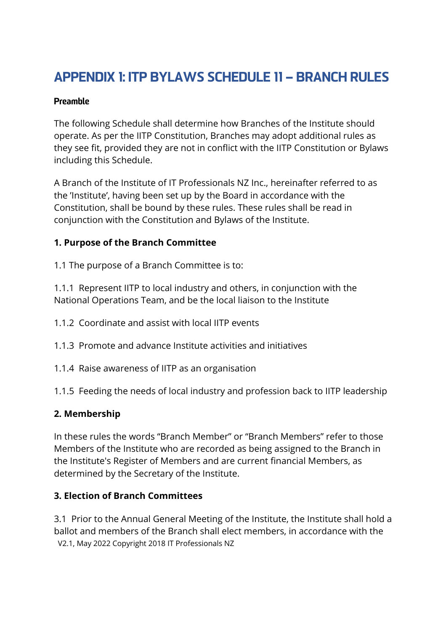# APPENDIX 1: ITP BYLAWS SCHEDULE 11 – BRANCH RULES

#### Preamble

The following Schedule shall determine how Branches of the Institute should operate. As per the IITP Constitution, Branches may adopt additional rules as they see fit, provided they are not in conflict with the IITP Constitution or Bylaws including this Schedule.

A Branch of the Institute of IT Professionals NZ Inc., hereinafter referred to as the 'Institute', having been set up by the Board in accordance with the Constitution, shall be bound by these rules. These rules shall be read in conjunction with the Constitution and Bylaws of the Institute.

#### **1. Purpose of the Branch Committee**

1.1 The purpose of a Branch Committee is to:

1.1.1 Represent IITP to local industry and others, in conjunction with the National Operations Team, and be the local liaison to the Institute

- 1.1.2 Coordinate and assist with local IITP events
- 1.1.3 Promote and advance Institute activities and initiatives
- 1.1.4 Raise awareness of IITP as an organisation

1.1.5 Feeding the needs of local industry and profession back to IITP leadership

#### **2. Membership**

In these rules the words "Branch Member" or "Branch Members" refer to those Members of the Institute who are recorded as being assigned to the Branch in the Institute's Register of Members and are current financial Members, as determined by the Secretary of the Institute.

#### **3. Election of Branch Committees**

V2.1, May 2022 Copyright 2018 IT Professionals NZ 3.1 Prior to the Annual General Meeting of the Institute, the Institute shall hold a ballot and members of the Branch shall elect members, in accordance with the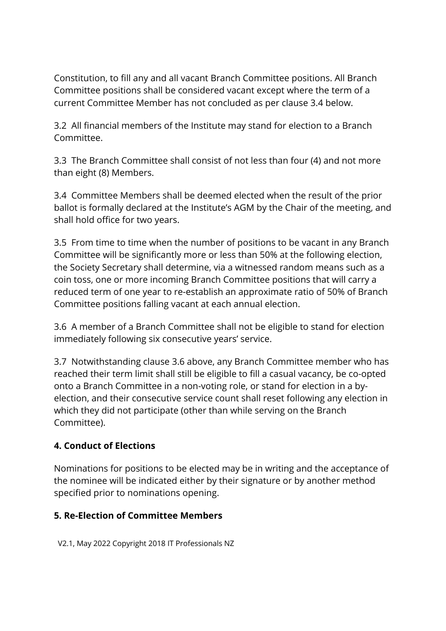Constitution, to fill any and all vacant Branch Committee positions. All Branch Committee positions shall be considered vacant except where the term of a current Committee Member has not concluded as per clause 3.4 below.

3.2 All financial members of the Institute may stand for election to a Branch Committee.

3.3 The Branch Committee shall consist of not less than four (4) and not more than eight (8) Members.

3.4 Committee Members shall be deemed elected when the result of the prior ballot is formally declared at the Institute's AGM by the Chair of the meeting, and shall hold office for two years.

3.5 From time to time when the number of positions to be vacant in any Branch Committee will be significantly more or less than 50% at the following election, the Society Secretary shall determine, via a witnessed random means such as a coin toss, one or more incoming Branch Committee positions that will carry a reduced term of one year to re-establish an approximate ratio of 50% of Branch Committee positions falling vacant at each annual election.

3.6 A member of a Branch Committee shall not be eligible to stand for election immediately following six consecutive years' service.

3.7 Notwithstanding clause 3.6 above, any Branch Committee member who has reached their term limit shall still be eligible to fill a casual vacancy, be co-opted onto a Branch Committee in a non-voting role, or stand for election in a byelection, and their consecutive service count shall reset following any election in which they did not participate (other than while serving on the Branch Committee).

### **4. Conduct of Elections**

Nominations for positions to be elected may be in writing and the acceptance of the nominee will be indicated either by their signature or by another method specified prior to nominations opening.

### **5. Re-Election of Committee Members**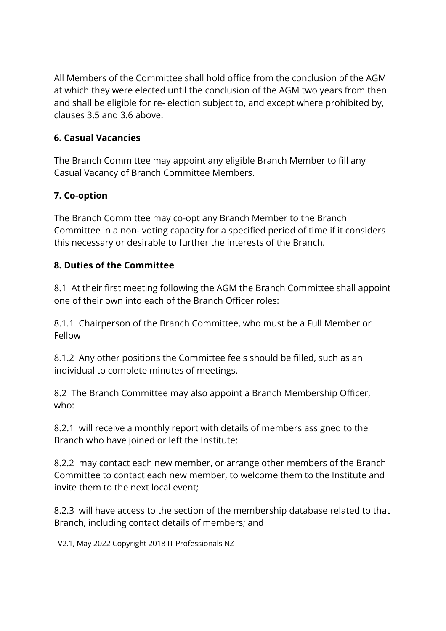All Members of the Committee shall hold office from the conclusion of the AGM at which they were elected until the conclusion of the AGM two years from then and shall be eligible for re- election subject to, and except where prohibited by, clauses 3.5 and 3.6 above.

### **6. Casual Vacancies**

The Branch Committee may appoint any eligible Branch Member to fill any Casual Vacancy of Branch Committee Members.

### **7. Co-option**

The Branch Committee may co-opt any Branch Member to the Branch Committee in a non- voting capacity for a specified period of time if it considers this necessary or desirable to further the interests of the Branch.

#### **8. Duties of the Committee**

8.1 At their first meeting following the AGM the Branch Committee shall appoint one of their own into each of the Branch Officer roles:

8.1.1 Chairperson of the Branch Committee, who must be a Full Member or Fellow

8.1.2 Any other positions the Committee feels should be filled, such as an individual to complete minutes of meetings.

8.2 The Branch Committee may also appoint a Branch Membership Officer, who:

8.2.1 will receive a monthly report with details of members assigned to the Branch who have joined or left the Institute;

8.2.2 may contact each new member, or arrange other members of the Branch Committee to contact each new member, to welcome them to the Institute and invite them to the next local event;

8.2.3 will have access to the section of the membership database related to that Branch, including contact details of members; and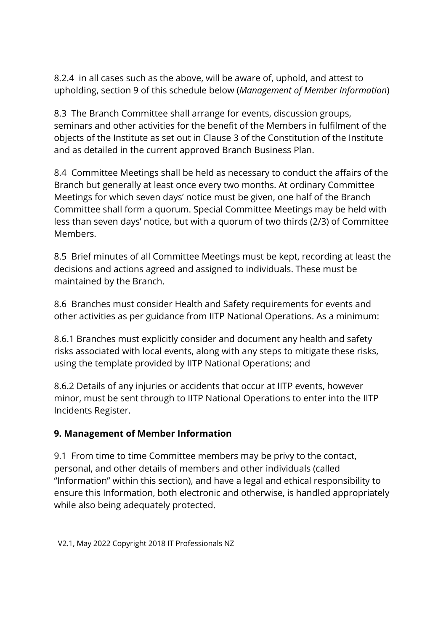8.2.4 in all cases such as the above, will be aware of, uphold, and attest to upholding, section 9 of this schedule below (*Management of Member Information*)

8.3 The Branch Committee shall arrange for events, discussion groups, seminars and other activities for the benefit of the Members in fulfilment of the objects of the Institute as set out in Clause 3 of the Constitution of the Institute and as detailed in the current approved Branch Business Plan.

8.4 Committee Meetings shall be held as necessary to conduct the affairs of the Branch but generally at least once every two months. At ordinary Committee Meetings for which seven days' notice must be given, one half of the Branch Committee shall form a quorum. Special Committee Meetings may be held with less than seven days' notice, but with a quorum of two thirds (2/3) of Committee Members.

8.5 Brief minutes of all Committee Meetings must be kept, recording at least the decisions and actions agreed and assigned to individuals. These must be maintained by the Branch.

8.6 Branches must consider Health and Safety requirements for events and other activities as per guidance from IITP National Operations. As a minimum:

8.6.1 Branches must explicitly consider and document any health and safety risks associated with local events, along with any steps to mitigate these risks, using the template provided by IITP National Operations; and

8.6.2 Details of any injuries or accidents that occur at IITP events, however minor, must be sent through to IITP National Operations to enter into the IITP Incidents Register.

#### **9. Management of Member Information**

9.1 From time to time Committee members may be privy to the contact, personal, and other details of members and other individuals (called "Information" within this section), and have a legal and ethical responsibility to ensure this Information, both electronic and otherwise, is handled appropriately while also being adequately protected.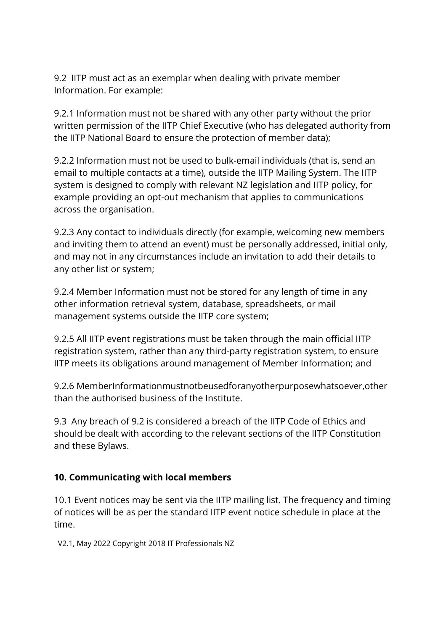9.2 IITP must act as an exemplar when dealing with private member Information. For example:

9.2.1 Information must not be shared with any other party without the prior written permission of the IITP Chief Executive (who has delegated authority from the IITP National Board to ensure the protection of member data);

9.2.2 Information must not be used to bulk-email individuals (that is, send an email to multiple contacts at a time), outside the IITP Mailing System. The IITP system is designed to comply with relevant NZ legislation and IITP policy, for example providing an opt-out mechanism that applies to communications across the organisation.

9.2.3 Any contact to individuals directly (for example, welcoming new members and inviting them to attend an event) must be personally addressed, initial only, and may not in any circumstances include an invitation to add their details to any other list or system;

9.2.4 Member Information must not be stored for any length of time in any other information retrieval system, database, spreadsheets, or mail management systems outside the IITP core system;

9.2.5 All IITP event registrations must be taken through the main official IITP registration system, rather than any third-party registration system, to ensure IITP meets its obligations around management of Member Information; and

9.2.6 MemberInformationmustnotbeusedforanyotherpurposewhatsoever,other than the authorised business of the Institute.

9.3 Any breach of 9.2 is considered a breach of the IITP Code of Ethics and should be dealt with according to the relevant sections of the IITP Constitution and these Bylaws.

#### **10. Communicating with local members**

10.1 Event notices may be sent via the IITP mailing list. The frequency and timing of notices will be as per the standard IITP event notice schedule in place at the time.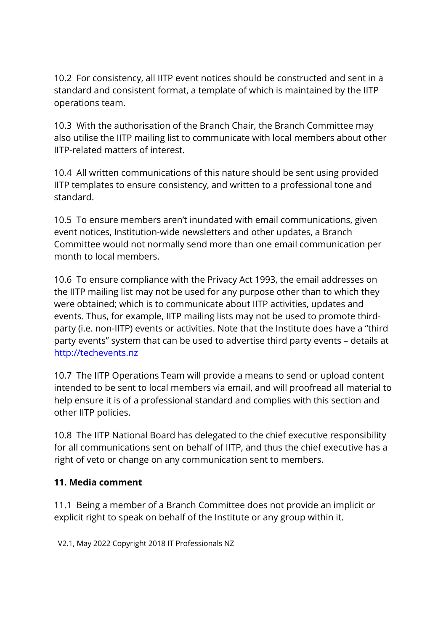10.2 For consistency, all IITP event notices should be constructed and sent in a standard and consistent format, a template of which is maintained by the IITP operations team.

10.3 With the authorisation of the Branch Chair, the Branch Committee may also utilise the IITP mailing list to communicate with local members about other IITP-related matters of interest.

10.4 All written communications of this nature should be sent using provided IITP templates to ensure consistency, and written to a professional tone and standard.

10.5 To ensure members aren't inundated with email communications, given event notices, Institution-wide newsletters and other updates, a Branch Committee would not normally send more than one email communication per month to local members.

10.6 To ensure compliance with the Privacy Act 1993, the email addresses on the IITP mailing list may not be used for any purpose other than to which they were obtained; which is to communicate about IITP activities, updates and events. Thus, for example, IITP mailing lists may not be used to promote thirdparty (i.e. non-IITP) events or activities. Note that the Institute does have a "third party events" system that can be used to advertise third party events – details at http://techevents.nz

10.7 The IITP Operations Team will provide a means to send or upload content intended to be sent to local members via email, and will proofread all material to help ensure it is of a professional standard and complies with this section and other IITP policies.

10.8 The IITP National Board has delegated to the chief executive responsibility for all communications sent on behalf of IITP, and thus the chief executive has a right of veto or change on any communication sent to members.

#### **11. Media comment**

11.1 Being a member of a Branch Committee does not provide an implicit or explicit right to speak on behalf of the Institute or any group within it.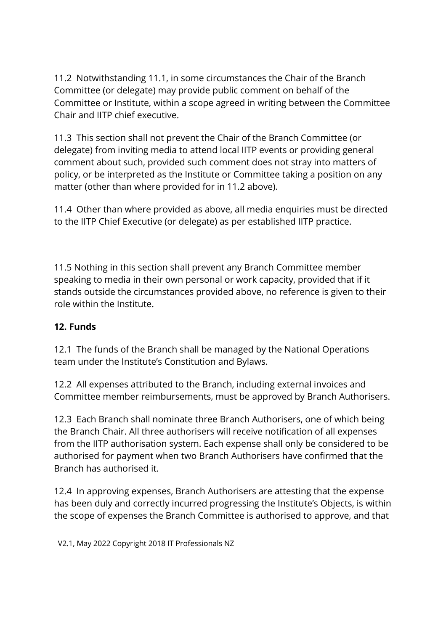11.2 Notwithstanding 11.1, in some circumstances the Chair of the Branch Committee (or delegate) may provide public comment on behalf of the Committee or Institute, within a scope agreed in writing between the Committee Chair and IITP chief executive.

11.3 This section shall not prevent the Chair of the Branch Committee (or delegate) from inviting media to attend local IITP events or providing general comment about such, provided such comment does not stray into matters of policy, or be interpreted as the Institute or Committee taking a position on any matter (other than where provided for in 11.2 above).

11.4 Other than where provided as above, all media enquiries must be directed to the IITP Chief Executive (or delegate) as per established IITP practice.

11.5 Nothing in this section shall prevent any Branch Committee member speaking to media in their own personal or work capacity, provided that if it stands outside the circumstances provided above, no reference is given to their role within the Institute.

#### **12. Funds**

12.1 The funds of the Branch shall be managed by the National Operations team under the Institute's Constitution and Bylaws.

12.2 All expenses attributed to the Branch, including external invoices and Committee member reimbursements, must be approved by Branch Authorisers.

12.3 Each Branch shall nominate three Branch Authorisers, one of which being the Branch Chair. All three authorisers will receive notification of all expenses from the IITP authorisation system. Each expense shall only be considered to be authorised for payment when two Branch Authorisers have confirmed that the Branch has authorised it.

12.4 In approving expenses, Branch Authorisers are attesting that the expense has been duly and correctly incurred progressing the Institute's Objects, is within the scope of expenses the Branch Committee is authorised to approve, and that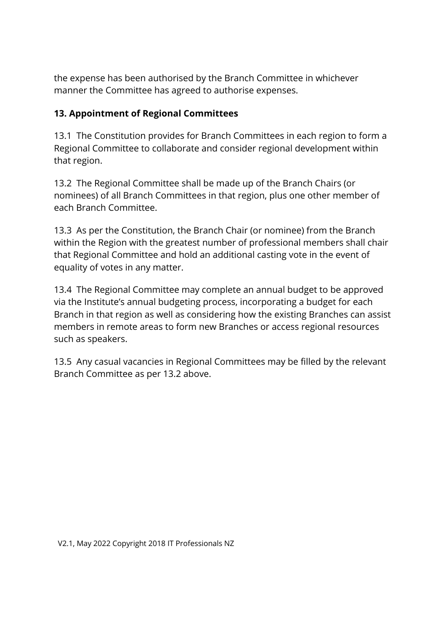the expense has been authorised by the Branch Committee in whichever manner the Committee has agreed to authorise expenses.

### **13. Appointment of Regional Committees**

13.1 The Constitution provides for Branch Committees in each region to form a Regional Committee to collaborate and consider regional development within that region.

13.2 The Regional Committee shall be made up of the Branch Chairs (or nominees) of all Branch Committees in that region, plus one other member of each Branch Committee.

13.3 As per the Constitution, the Branch Chair (or nominee) from the Branch within the Region with the greatest number of professional members shall chair that Regional Committee and hold an additional casting vote in the event of equality of votes in any matter.

13.4 The Regional Committee may complete an annual budget to be approved via the Institute's annual budgeting process, incorporating a budget for each Branch in that region as well as considering how the existing Branches can assist members in remote areas to form new Branches or access regional resources such as speakers.

13.5 Any casual vacancies in Regional Committees may be filled by the relevant Branch Committee as per 13.2 above.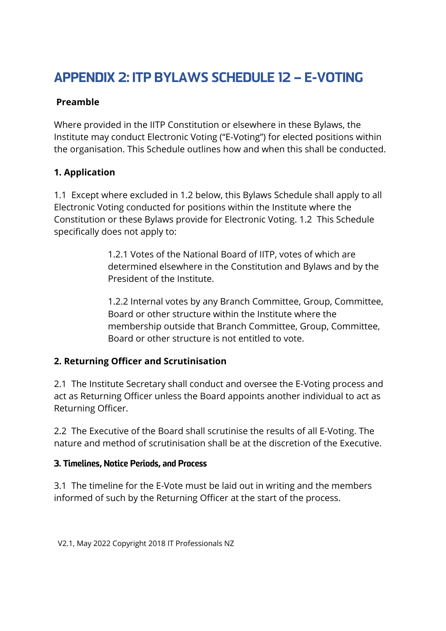# APPENDIX 2: ITP BYLAWS SCHEDULE 12 – E-VOTING

#### **Preamble**

Where provided in the IITP Constitution or elsewhere in these Bylaws, the Institute may conduct Electronic Voting ("E-Voting") for elected positions within the organisation. This Schedule outlines how and when this shall be conducted.

### **1. Application**

1.1 Except where excluded in 1.2 below, this Bylaws Schedule shall apply to all Electronic Voting conducted for positions within the Institute where the Constitution or these Bylaws provide for Electronic Voting. 1.2 This Schedule specifically does not apply to:

> 1.2.1 Votes of the National Board of IITP, votes of which are determined elsewhere in the Constitution and Bylaws and by the President of the Institute.

1.2.2 Internal votes by any Branch Committee, Group, Committee, Board or other structure within the Institute where the membership outside that Branch Committee, Group, Committee, Board or other structure is not entitled to vote.

### **2. Returning Officer and Scrutinisation**

2.1 The Institute Secretary shall conduct and oversee the E-Voting process and act as Returning Officer unless the Board appoints another individual to act as Returning Officer.

2.2 The Executive of the Board shall scrutinise the results of all E-Voting. The nature and method of scrutinisation shall be at the discretion of the Executive.

#### 3. Timelines, Notice Periods, and Process

3.1 The timeline for the E-Vote must be laid out in writing and the members informed of such by the Returning Officer at the start of the process.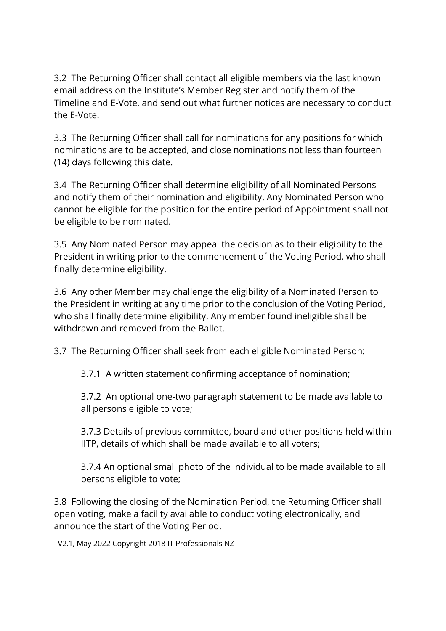3.2 The Returning Officer shall contact all eligible members via the last known email address on the Institute's Member Register and notify them of the Timeline and E-Vote, and send out what further notices are necessary to conduct the E-Vote.

3.3 The Returning Officer shall call for nominations for any positions for which nominations are to be accepted, and close nominations not less than fourteen (14) days following this date.

3.4 The Returning Officer shall determine eligibility of all Nominated Persons and notify them of their nomination and eligibility. Any Nominated Person who cannot be eligible for the position for the entire period of Appointment shall not be eligible to be nominated.

3.5 Any Nominated Person may appeal the decision as to their eligibility to the President in writing prior to the commencement of the Voting Period, who shall finally determine eligibility.

3.6 Any other Member may challenge the eligibility of a Nominated Person to the President in writing at any time prior to the conclusion of the Voting Period, who shall finally determine eligibility. Any member found ineligible shall be withdrawn and removed from the Ballot.

3.7 The Returning Officer shall seek from each eligible Nominated Person:

3.7.1 A written statement confirming acceptance of nomination;

3.7.2 An optional one-two paragraph statement to be made available to all persons eligible to vote;

3.7.3 Details of previous committee, board and other positions held within IITP, details of which shall be made available to all voters;

3.7.4 An optional small photo of the individual to be made available to all persons eligible to vote;

3.8 Following the closing of the Nomination Period, the Returning Officer shall open voting, make a facility available to conduct voting electronically, and announce the start of the Voting Period.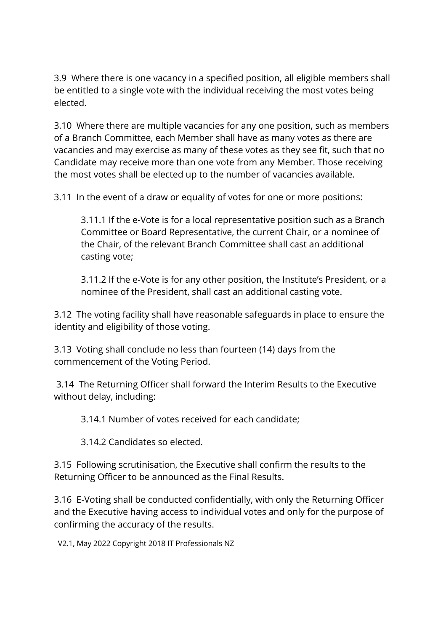3.9 Where there is one vacancy in a specified position, all eligible members shall be entitled to a single vote with the individual receiving the most votes being elected.

3.10 Where there are multiple vacancies for any one position, such as members of a Branch Committee, each Member shall have as many votes as there are vacancies and may exercise as many of these votes as they see fit, such that no Candidate may receive more than one vote from any Member. Those receiving the most votes shall be elected up to the number of vacancies available.

3.11 In the event of a draw or equality of votes for one or more positions:

3.11.1 If the e-Vote is for a local representative position such as a Branch Committee or Board Representative, the current Chair, or a nominee of the Chair, of the relevant Branch Committee shall cast an additional casting vote;

3.11.2 If the e-Vote is for any other position, the Institute's President, or a nominee of the President, shall cast an additional casting vote.

3.12 The voting facility shall have reasonable safeguards in place to ensure the identity and eligibility of those voting.

3.13 Voting shall conclude no less than fourteen (14) days from the commencement of the Voting Period.

3.14 The Returning Officer shall forward the Interim Results to the Executive without delay, including:

3.14.1 Number of votes received for each candidate;

3.14.2 Candidates so elected.

3.15 Following scrutinisation, the Executive shall confirm the results to the Returning Officer to be announced as the Final Results.

3.16 E-Voting shall be conducted confidentially, with only the Returning Officer and the Executive having access to individual votes and only for the purpose of confirming the accuracy of the results.